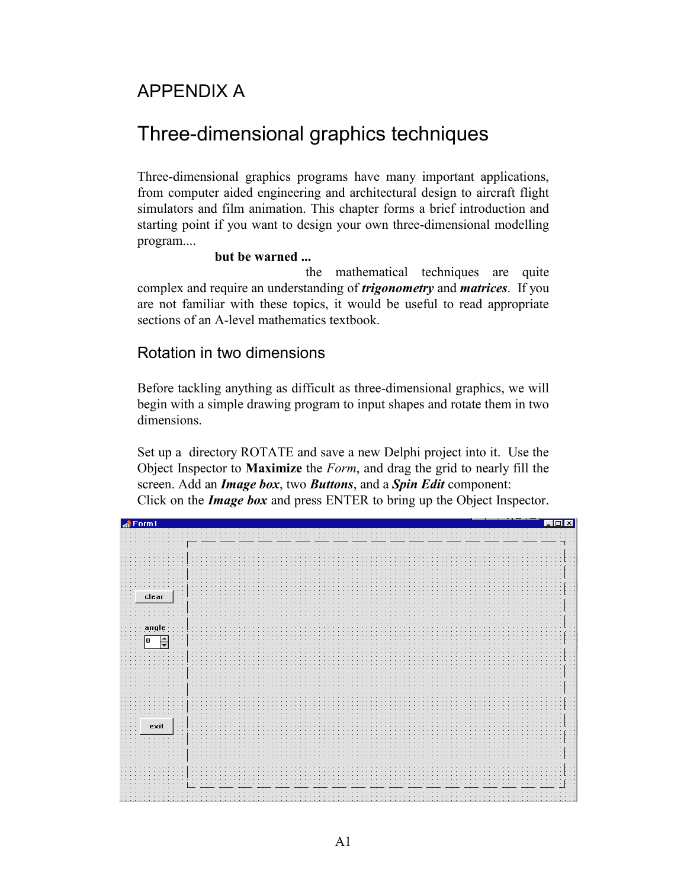## APPENDIX A

# Three-dimensional graphics techniques

Three-dimensional graphics programs have many important applications, from computer aided engineering and architectural design to aircraft flight simulators and film animation. This chapter forms a brief introduction and starting point if you want to design your own three-dimensional modelling program....

#### **but be warned ...**

 the mathematical techniques are quite complex and require an understanding of *trigonometry* and *matrices*. If you are not familiar with these topics, it would be useful to read appropriate sections of an A-level mathematics textbook.

### Rotation in two dimensions

Before tackling anything as difficult as three-dimensional graphics, we will begin with a simple drawing program to input shapes and rotate them in two dimensions.

Set up a directory ROTATE and save a new Delphi project into it. Use the Object Inspector to **Maximize** the *Form*, and drag the grid to nearly fill the screen. Add an *Image box*, two *Buttons*, and a *Spin Edit* component: Click on the *Image box* and press ENTER to bring up the Object Inspector.

| $\triangle$ Form1                                                      | $ \mathbf{x} $    |
|------------------------------------------------------------------------|-------------------|
|                                                                        |                   |
|                                                                        |                   |
|                                                                        |                   |
|                                                                        |                   |
|                                                                        |                   |
|                                                                        |                   |
|                                                                        |                   |
|                                                                        |                   |
|                                                                        | $\mathbb{C}$      |
|                                                                        |                   |
|                                                                        | . .               |
|                                                                        | $\cdot$ $\cdot$ 1 |
|                                                                        |                   |
| B<br>clear<br>$\mathbb{R}^2$                                           |                   |
|                                                                        |                   |
|                                                                        |                   |
|                                                                        |                   |
|                                                                        |                   |
|                                                                        | Ħ                 |
| $\frac{1}{2}$ angle $\frac{1}{2}$                                      |                   |
|                                                                        | $\cdot$ $\cdot$   |
| $\sqrt{a}$<br>$\stackrel{\text{\tiny{A}}}{\text{\tiny{+}}}$<br>$\cdot$ |                   |
|                                                                        |                   |
|                                                                        |                   |
|                                                                        |                   |
|                                                                        |                   |
|                                                                        | ÷Щ                |
|                                                                        |                   |
|                                                                        |                   |
|                                                                        |                   |
|                                                                        |                   |
|                                                                        |                   |
|                                                                        |                   |
|                                                                        | $\sim$ $\sim$     |
|                                                                        |                   |
|                                                                        |                   |
|                                                                        | $\mathbb{R}^2$    |
| Œ<br>exit                                                              |                   |
|                                                                        |                   |
|                                                                        |                   |
|                                                                        |                   |
|                                                                        |                   |
|                                                                        |                   |
|                                                                        |                   |
|                                                                        | Ħ                 |
|                                                                        |                   |
|                                                                        |                   |
|                                                                        |                   |
|                                                                        |                   |
|                                                                        |                   |
|                                                                        |                   |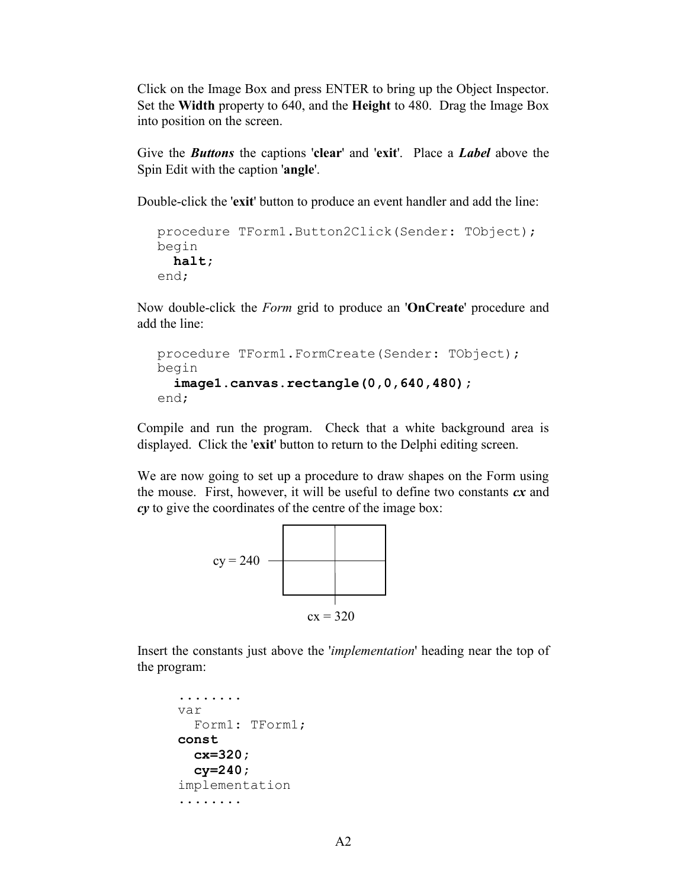Click on the Image Box and press ENTER to bring up the Object Inspector. Set the **Width** property to 640, and the **Height** to 480. Drag the Image Box into position on the screen.

Give the *Buttons* the captions '**clear**' and '**exit**'. Place a *Label* above the Spin Edit with the caption '**angle**'.

Double-click the '**exit**' button to produce an event handler and add the line:

```
procedure TForm1.Button2Click(Sender: TObject);
begin
  halt;
end;
```
Now double-click the *Form* grid to produce an '**OnCreate**' procedure and add the line:

```
procedure TForm1.FormCreate(Sender: TObject);
begin
  image1.canvas.rectangle(0,0,640,480);
end;
```
Compile and run the program. Check that a white background area is displayed. Click the '**exit**' button to return to the Delphi editing screen.

We are now going to set up a procedure to draw shapes on the Form using the mouse. First, however, it will be useful to define two constants *cx* and *cy* to give the coordinates of the centre of the image box:



Insert the constants just above the '*implementation*' heading near the top of the program:

```
........
var
   Form1: TForm1;
const
   cx=320;
   cy=240;
implementation
........
```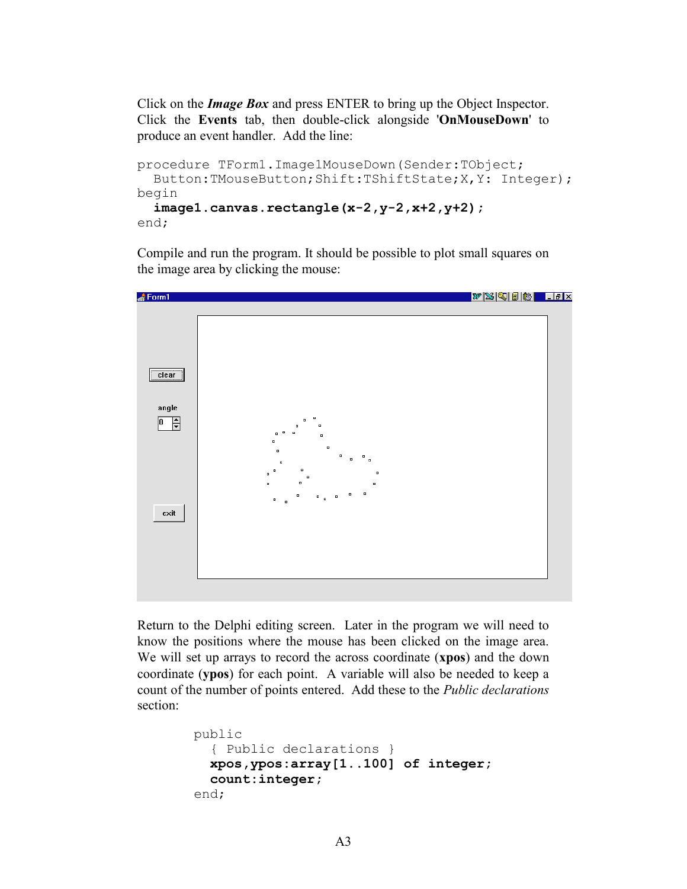Click on the *Image Box* and press ENTER to bring up the Object Inspector. Click the **Events** tab, then double-click alongside '**OnMouseDown**' to produce an event handler. Add the line:

```
procedure TForm1.Image1MouseDown(Sender:TObject; 
   Button:TMouseButton;Shift:TShiftState;X,Y: Integer);
begin
   image1.canvas.rectangle(x-2,y-2,x+2,y+2); 
end;
```
Compile and run the program. It should be possible to plot small squares on the image area by clicking the mouse:



Return to the Delphi editing screen. Later in the program we will need to know the positions where the mouse has been clicked on the image area. We will set up arrays to record the across coordinate (**xpos**) and the down coordinate (**ypos**) for each point. A variable will also be needed to keep a count of the number of points entered. Add these to the *Public declarations*  section:

```
 public
   { Public declarations }
   xpos,ypos:array[1..100] of integer;
   count:integer;
 end;
```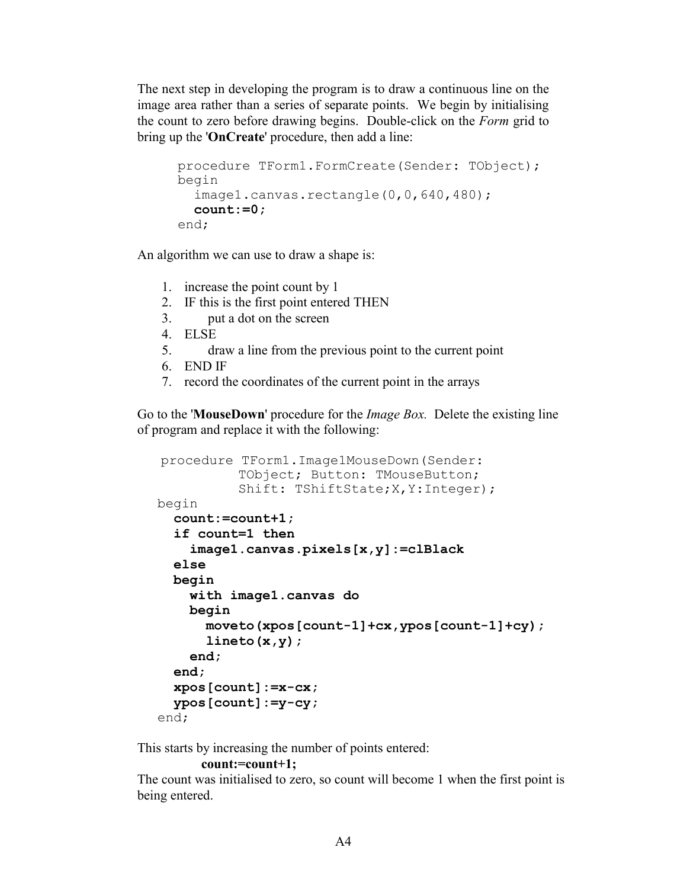The next step in developing the program is to draw a continuous line on the image area rather than a series of separate points. We begin by initialising the count to zero before drawing begins. Double-click on the *Form* grid to bring up the '**OnCreate**' procedure, then add a line:

```
procedure TForm1.FormCreate(Sender: TObject);
begin
  image1.canvas.rectangle(0,0,640,480);
   count:=0;
end;
```
An algorithm we can use to draw a shape is:

- 1. increase the point count by 1
- 2. IF this is the first point entered THEN
- 3. put a dot on the screen
- 4. ELSE
- 5. draw a line from the previous point to the current point
- 6. END IF
- 7. record the coordinates of the current point in the arrays

Go to the '**MouseDown**' procedure for the *Image Box.* Delete the existing line of program and replace it with the following:

```
procedure TForm1.Image1MouseDown(Sender: 
            TObject; Button: TMouseButton;
           Shift: TShiftState; X, Y: Integer) ;
begin
   count:=count+1;
   if count=1 then
     image1.canvas.pixels[x,y]:=clBlack
   else
   begin
     with image1.canvas do
     begin
       moveto(xpos[count-1]+cx,ypos[count-1]+cy);
       lineto(x,y);
     end;
   end;
   xpos[count]:=x-cx;
   ypos[count]:=y-cy;
end;
```
This starts by increasing the number of points entered:

#### **count:=count+1;**

The count was initialised to zero, so count will become 1 when the first point is being entered.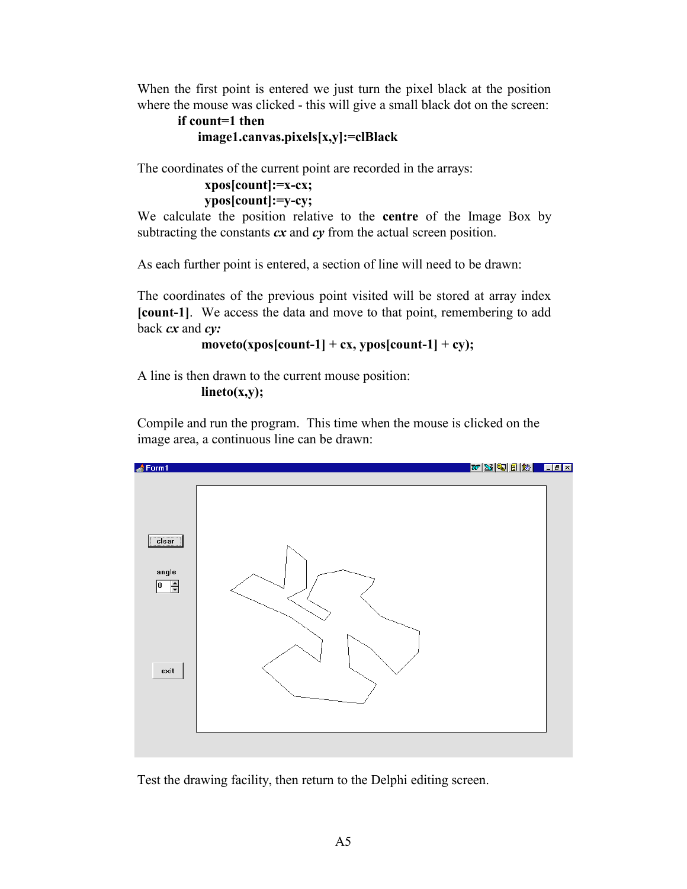When the first point is entered we just turn the pixel black at the position where the mouse was clicked - this will give a small black dot on the screen:

```
if count=1 then
    image1.canvas.pixels[x,y]:=clBlack
```
The coordinates of the current point are recorded in the arrays:

#### **xpos[count]:=x-cx; ypos[count]:=y-cy;**

We calculate the position relative to the **centre** of the Image Box by subtracting the constants *cx* and *cy* from the actual screen position.

As each further point is entered, a section of line will need to be drawn:

The coordinates of the previous point visited will be stored at array index **[count-1]**. We access the data and move to that point, remembering to add back *cx* and *cy:*

```
\text{move}to(xpos[count-1] + cx, ypos[count-1] + cy);
```
A line is then drawn to the current mouse position:

 **lineto(x,y);**

Compile and run the program. This time when the mouse is clicked on the image area, a continuous line can be drawn:



Test the drawing facility, then return to the Delphi editing screen.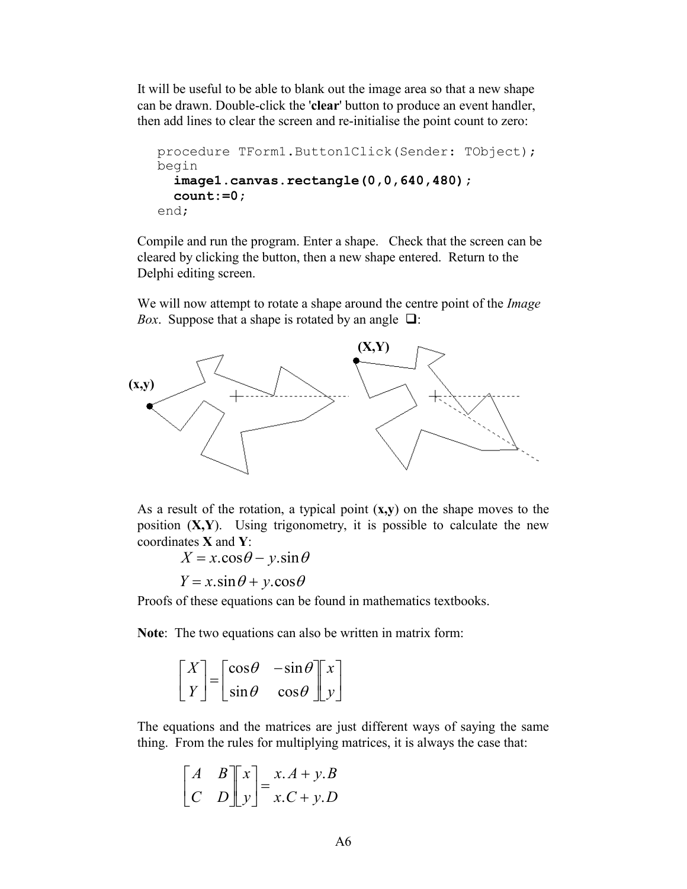It will be useful to be able to blank out the image area so that a new shape can be drawn. Double-click the '**clear**' button to produce an event handler, then add lines to clear the screen and re-initialise the point count to zero:

```
procedure TForm1.Button1Click(Sender: TObject);
begin
  image1.canvas.rectangle(0,0,640,480);
   count:=0;
end;
```
Compile and run the program. Enter a shape. Check that the screen can be cleared by clicking the button, then a new shape entered. Return to the Delphi editing screen.

We will now attempt to rotate a shape around the centre point of the *Image Box.* Suppose that a shape is rotated by an angle  $\Box$ :



As a result of the rotation, a typical point (**x,y**) on the shape moves to the position (**X,Y**). Using trigonometry, it is possible to calculate the new coordinates **X** and **Y**:

 $X = x \cdot \cos \theta - y \cdot \sin \theta$ 

 $Y = x \cdot \sin \theta + y \cdot \cos \theta$ 

Proofs of these equations can be found in mathematics textbooks.

**Note**: The two equations can also be written in matrix form:

$$
\begin{bmatrix} X \\ Y \end{bmatrix} = \begin{bmatrix} \cos \theta & -\sin \theta \\ \sin \theta & \cos \theta \end{bmatrix} \begin{bmatrix} x \\ y \end{bmatrix}
$$

The equations and the matrices are just different ways of saying the same thing. From the rules for multiplying matrices, it is always the case that:

$$
\begin{bmatrix} A & B \\ C & D \end{bmatrix} \begin{bmatrix} x \\ y \end{bmatrix} = \begin{bmatrix} x.A + y.B \\ x.C + y.D \end{bmatrix}
$$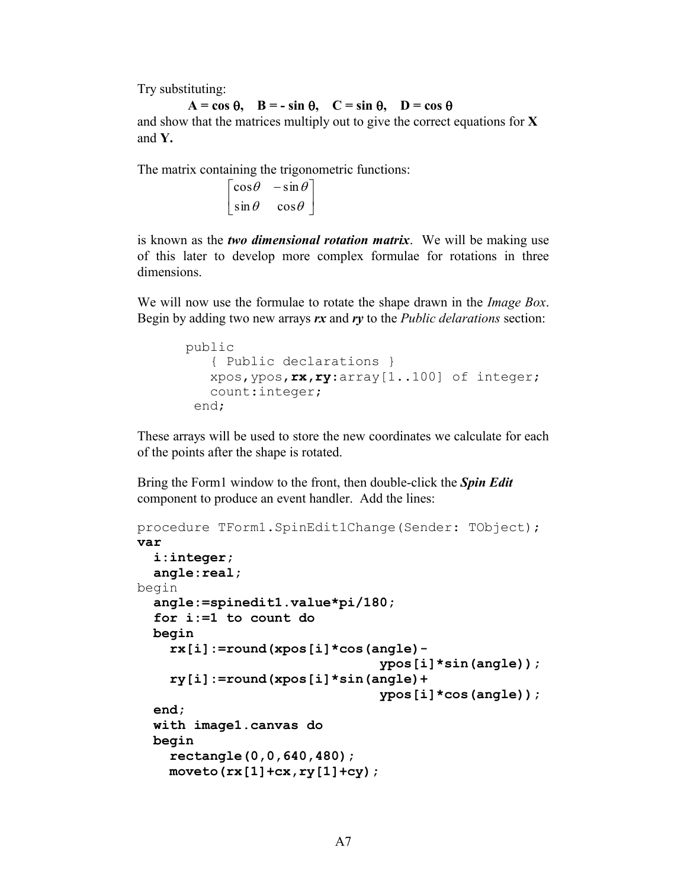Try substituting:

 $A = \cos \theta$ ,  $B = -\sin \theta$ ,  $C = \sin \theta$ ,  $D = \cos \theta$ and show that the matrices multiply out to give the correct equations for **X**  and **Y.**

The matrix containing the trigonometric functions:

 $\overline{\phantom{a}}$ ∫  $\begin{bmatrix} \cos \theta & -\sin \theta \end{bmatrix}$ L  $\left[\sin \theta \quad \cos \theta\right]$ 

is known as the *two dimensional rotation matrix*. We will be making use of this later to develop more complex formulae for rotations in three dimensions.

We will now use the formulae to rotate the shape drawn in the *Image Box*. Begin by adding two new arrays *rx* and *ry* to the *Public delarations* section:

```
public
    { Public declarations }
    xpos,ypos,rx,ry:array[1..100] of integer;
    count:integer;
  end;
```
These arrays will be used to store the new coordinates we calculate for each of the points after the shape is rotated.

Bring the Form1 window to the front, then double-click the *Spin Edit*  component to produce an event handler. Add the lines:

```
procedure TForm1.SpinEdit1Change(Sender: TObject);
var
   i:integer;
   angle:real;
begin
  angle:=spinedit1.value*pi/180;
   for i:=1 to count do
   begin
     rx[i]:=round(xpos[i]*cos(angle)-
                                ypos[i]*sin(angle));
     ry[i]:=round(xpos[i]*sin(angle)+
                                ypos[i]*cos(angle));
   end;
   with image1.canvas do
   begin
     rectangle(0,0,640,480);
     moveto(rx[1]+cx,ry[1]+cy);
```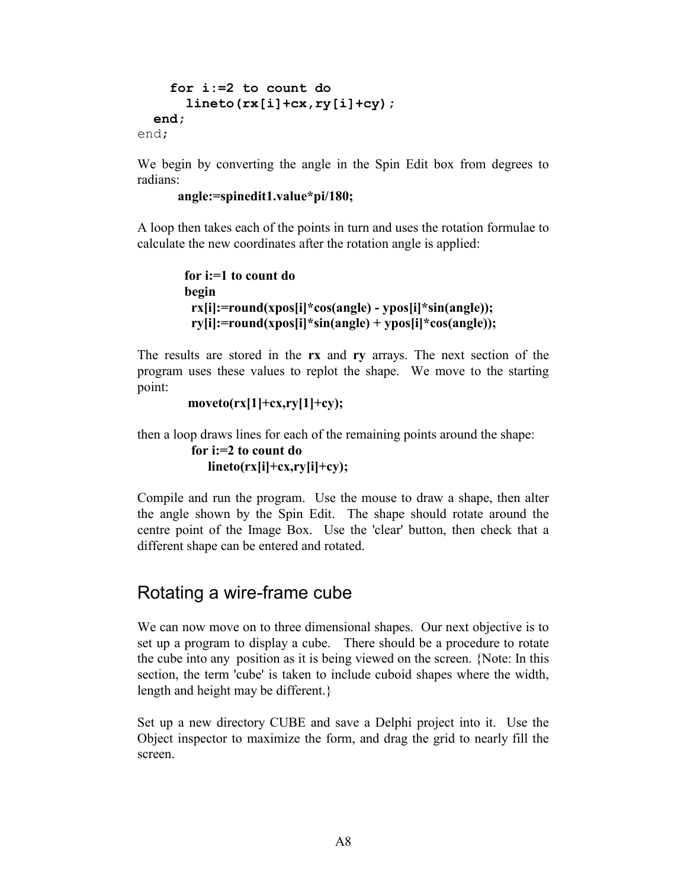```
 for i:=2 to count do
       lineto(rx[i]+cx,ry[i]+cy);
   end;
end;
```
We begin by converting the angle in the Spin Edit box from degrees to radians:

#### **angle:=spinedit1.value\*pi/180;**

A loop then takes each of the points in turn and uses the rotation formulae to calculate the new coordinates after the rotation angle is applied:

```
 for i:=1 to count do
 begin
  rx[i]:=round(xpos[i]*cos(angle) - ypos[i]*sin(angle));
  ry[i]:=round(xpos[i]*sin(angle) + ypos[i]*cos(angle));
```
The results are stored in the **rx** and **ry** arrays. The next section of the program uses these values to replot the shape. We move to the starting point:

```
 moveto(rx[1]+cx,ry[1]+cy);
```
then a loop draws lines for each of the remaining points around the shape:

```
 for i:=2 to count do
    lineto(rx[i]+cx,ry[i]+cy);
```
Compile and run the program. Use the mouse to draw a shape, then alter the angle shown by the Spin Edit. The shape should rotate around the centre point of the Image Box. Use the 'clear' button, then check that a different shape can be entered and rotated.

### Rotating a wire-frame cube

We can now move on to three dimensional shapes. Our next objective is to set up a program to display a cube. There should be a procedure to rotate the cube into any position as it is being viewed on the screen. {Note: In this section, the term 'cube' is taken to include cuboid shapes where the width, length and height may be different.}

Set up a new directory CUBE and save a Delphi project into it. Use the Object inspector to maximize the form, and drag the grid to nearly fill the screen.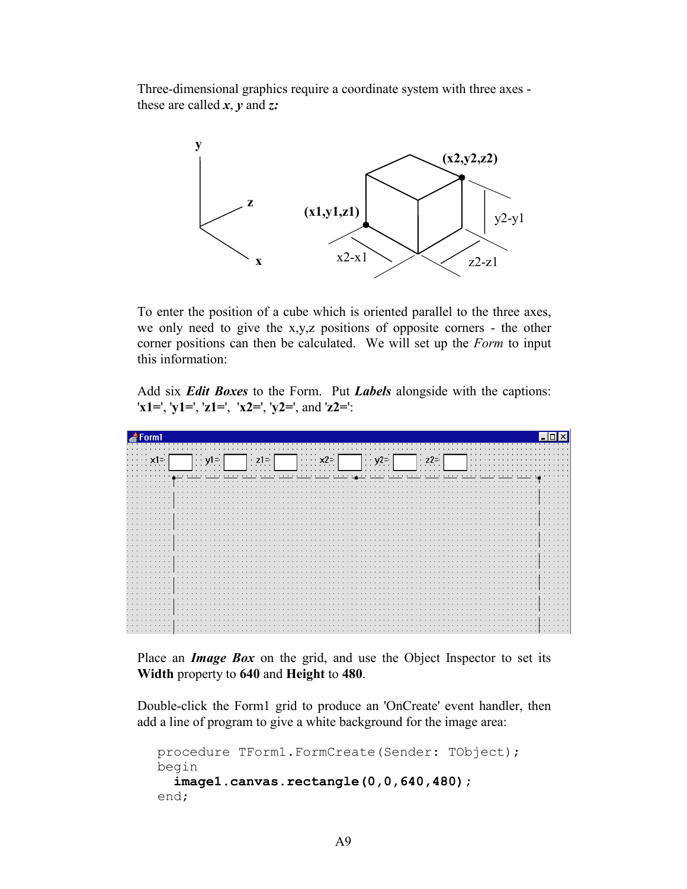Three-dimensional graphics require a coordinate system with three axes these are called *x*, *y* and *z:*



To enter the position of a cube which is oriented parallel to the three axes, we only need to give the x,y,z positions of opposite corners - the other corner positions can then be calculated. We will set up the *Form* to input this information:

Add six *Edit Boxes* to the Form. Put *Labels* alongside with the captions: '**x1=**', '**y1=**', '**z1=**', '**x2=**', '**y2=**', and '**z2=**':

| Form1                |            |  |
|----------------------|------------|--|
| $\cdots$ $\times$ 1= | $\Box$ y1= |  |
|                      |            |  |
|                      |            |  |
|                      |            |  |
|                      |            |  |
|                      |            |  |
|                      |            |  |
|                      |            |  |

Place an *Image Box* on the grid, and use the Object Inspector to set its **Width** property to **640** and **Height** to **480**.

Double-click the Form1 grid to produce an 'OnCreate' event handler, then add a line of program to give a white background for the image area:

```
procedure TForm1.FormCreate(Sender: TObject);
begin
   image1.canvas.rectangle(0,0,640,480);
end;
```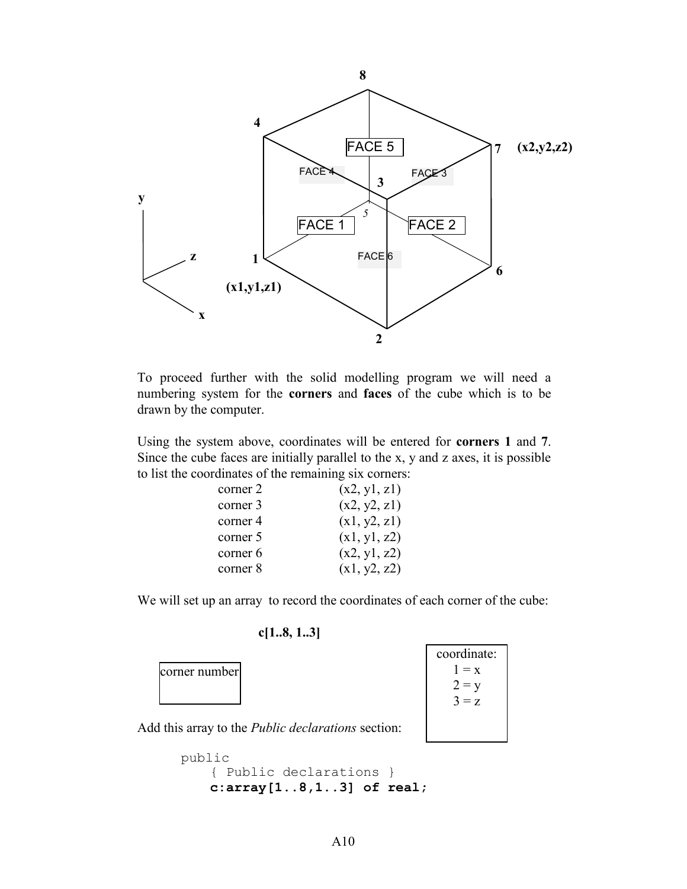

To proceed further with the solid modelling program we will need a numbering system for the **corners** and **faces** of the cube which is to be drawn by the computer.

Using the system above, coordinates will be entered for **corners 1** and **7**. Since the cube faces are initially parallel to the x, y and z axes, it is possible to list the coordinates of the remaining six corners:

| corner 2 | (x2, y1, z1) |
|----------|--------------|
| corner 3 | (x2, y2, z1) |
| corner 4 | (x1, y2, z1) |
| corner 5 | (x1, y1, z2) |
| corner 6 | (x2, y1, z2) |
| corner 8 | (x1, y2, z2) |

We will set up an array to record the coordinates of each corner of the cube:

#### **c[1..8, 1..3]**



```
public
     { Public declarations }
     c:array[1..8,1..3] of real;
```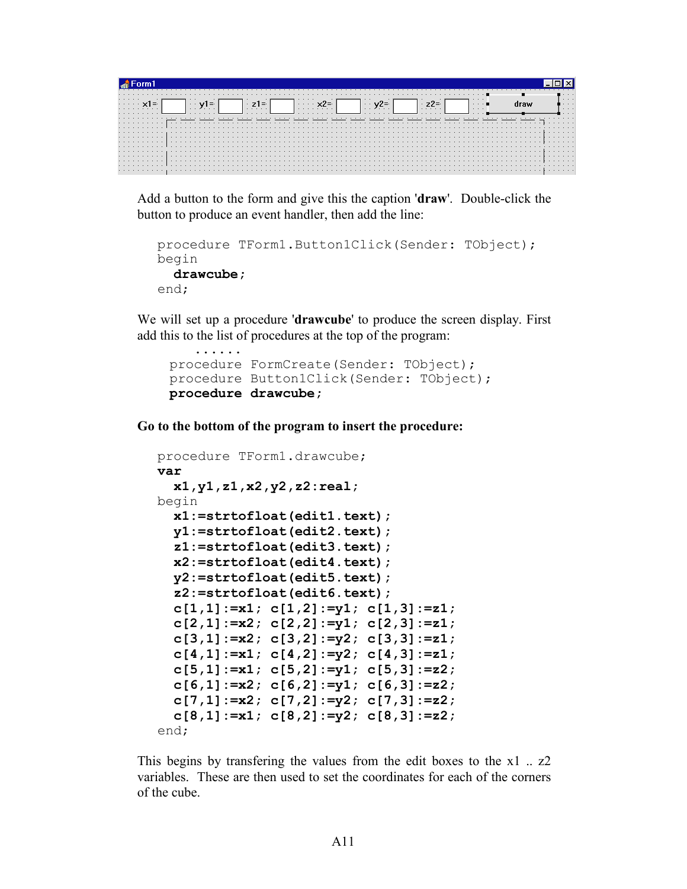| .<br>. | . |  |     |  |  | $\sim$ $\sim$ $\sim$ |  |  |  | . |  |  |  | . | . |  |  |  |  |  |  |  |  |  | .<br>$\cdots$<br>$\cdots$ |  |  |  |  |  | .<br>.<br>$\cdots$ |
|--------|---|--|-----|--|--|----------------------|--|--|--|---|--|--|--|---|---|--|--|--|--|--|--|--|--|--|---------------------------|--|--|--|--|--|--------------------|
|        |   |  |     |  |  |                      |  |  |  |   |  |  |  |   |   |  |  |  |  |  |  |  |  |  |                           |  |  |  |  |  |                    |
|        |   |  |     |  |  |                      |  |  |  |   |  |  |  |   |   |  |  |  |  |  |  |  |  |  |                           |  |  |  |  |  |                    |
|        |   |  |     |  |  |                      |  |  |  |   |  |  |  |   |   |  |  |  |  |  |  |  |  |  |                           |  |  |  |  |  |                    |
|        |   |  | .   |  |  |                      |  |  |  |   |  |  |  |   |   |  |  |  |  |  |  |  |  |  |                           |  |  |  |  |  |                    |
|        |   |  |     |  |  |                      |  |  |  |   |  |  |  |   |   |  |  |  |  |  |  |  |  |  |                           |  |  |  |  |  |                    |
|        |   |  |     |  |  |                      |  |  |  |   |  |  |  |   |   |  |  |  |  |  |  |  |  |  |                           |  |  |  |  |  |                    |
|        |   |  | . 1 |  |  |                      |  |  |  |   |  |  |  |   |   |  |  |  |  |  |  |  |  |  |                           |  |  |  |  |  |                    |
|        |   |  |     |  |  |                      |  |  |  |   |  |  |  |   |   |  |  |  |  |  |  |  |  |  |                           |  |  |  |  |  |                    |
|        |   |  |     |  |  |                      |  |  |  |   |  |  |  |   |   |  |  |  |  |  |  |  |  |  |                           |  |  |  |  |  |                    |
|        |   |  |     |  |  |                      |  |  |  |   |  |  |  |   |   |  |  |  |  |  |  |  |  |  |                           |  |  |  |  |  |                    |

Add a button to the form and give this the caption '**draw**'. Double-click the button to produce an event handler, then add the line:

```
procedure TForm1.Button1Click(Sender: TObject);
begin
  drawcube;
end;
```
We will set up a procedure '**drawcube**' to produce the screen display. First add this to the list of procedures at the top of the program:

```
 procedure FormCreate(Sender: TObject);
 procedure Button1Click(Sender: TObject);
 procedure drawcube;
```
**Go to the bottom of the program to insert the procedure:**

......

```
procedure TForm1.drawcube;
var
   x1,y1,z1,x2,y2,z2:real;
begin
  x1:=strtofloat(edit1.text);
   y1:=strtofloat(edit2.text);
   z1:=strtofloat(edit3.text);
   x2:=strtofloat(edit4.text);
   y2:=strtofloat(edit5.text);
   z2:=strtofloat(edit6.text);
   c[1,1]:=x1; c[1,2]:=y1; c[1,3]:=z1;
   c[2,1]:=x2; c[2,2]:=y1; c[2,3]:=z1;
   c[3,1]:=x2; c[3,2]:=y2; c[3,3]:=z1;
   c[4,1]:=x1; c[4,2]:=y2; c[4,3]:=z1;
   c[5,1]:=x1; c[5,2]:=y1; c[5,3]:=z2;
   c[6,1]:=x2; c[6,2]:=y1; c[6,3]:=z2;
   c[7,1]:=x2; c[7,2]:=y2; c[7,3]:=z2;
   c[8,1]:=x1; c[8,2]:=y2; c[8,3]:=z2;
end;
```
This begins by transfering the values from the edit boxes to the x1 .. z2 variables. These are then used to set the coordinates for each of the corners of the cube.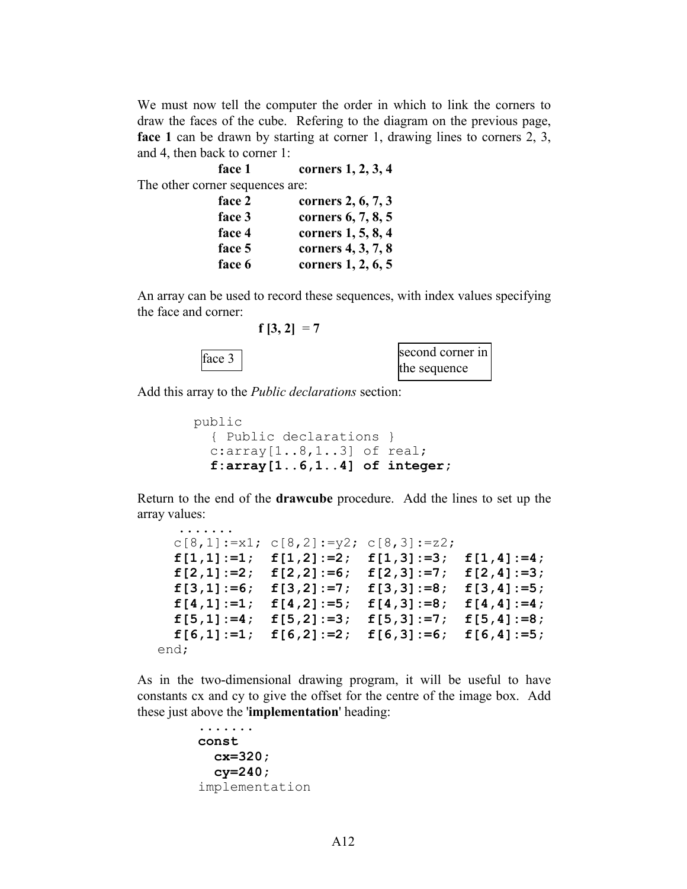We must now tell the computer the order in which to link the corners to draw the faces of the cube. Refering to the diagram on the previous page, **face 1** can be drawn by starting at corner 1, drawing lines to corners 2, 3, and 4, then back to corner 1:

| face 1                          | corners 1, 2, 3, 4 |
|---------------------------------|--------------------|
| The other corner sequences are: |                    |
| face 2                          | corners 2, 6, 7, 3 |
| face 3                          | corners 6, 7, 8, 5 |
| face 4                          | corners 1, 5, 8, 4 |
| face 5                          | corners 4, 3, 7, 8 |
| face 6                          | corners 1, 2, 6, 5 |

An array can be used to record these sequences, with index values specifying the face and corner:

 $f [3, 2] = 7$ 



Add this array to the *Public declarations* section:

```
 public
   { Public declarations }
   c:array[1..8,1..3] of real;
   f:array[1..6,1..4] of integer;
```
Return to the end of the **drawcube** procedure. Add the lines to set up the array values:

```
.......
 c[8,1]:=x1; c[8,2]:=y2; c[8,3]:=z2;f[1,1]:=1; f[1,2]:=2; f[1,3]:=3; f[1,4]:=4;
  f[2,1]:=2; f[2,2]:=6; f[2,3]:=7; f[2,4]:=3;
   f[3,1]:=6; f[3,2]:=7; f[3,3]:=8; f[3,4]:=5;
  f[4,1]:=1; f[4,2]:=5; f[4,3]:=8; f[4,4]:=4;
  f[5,1]:=4; f[5,2]:=3; f[5,3]:=7; f[5,4]:=8;
  f[6,1]:=1; f[6,2]:=2; f[6,3]:=6; f[6,4]:=5;
end;
```
As in the two-dimensional drawing program, it will be useful to have constants cx and cy to give the offset for the centre of the image box. Add these just above the '**implementation**' heading:

```
 .......
const
  cx=320;
  cy=240;
implementation
```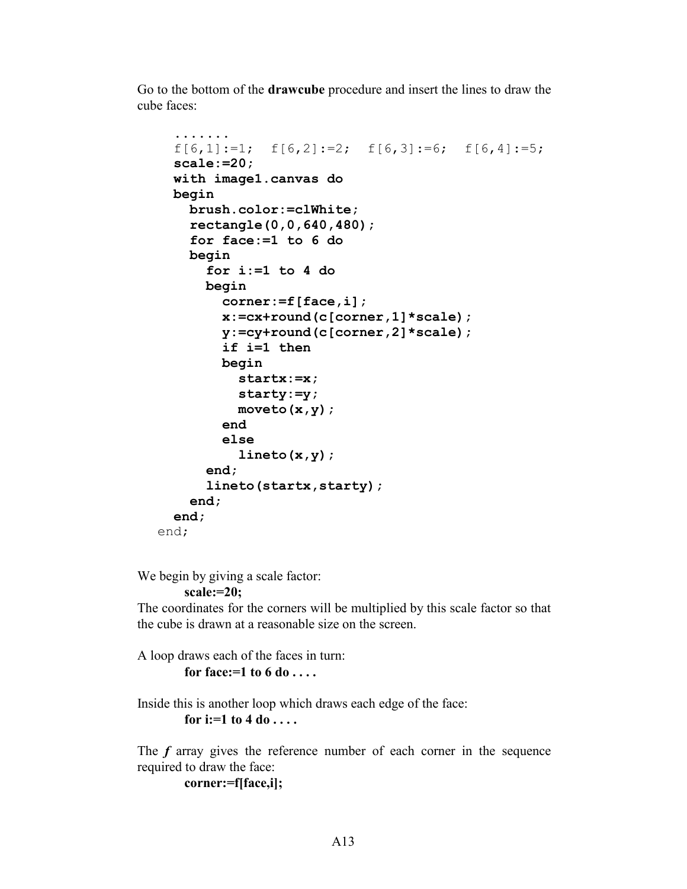Go to the bottom of the **drawcube** procedure and insert the lines to draw the cube faces:

```
 ....... 
  f[6,1]:=1; f[6,2]:=2; f[6,3]:=6; f[6,4]:=5; scale:=20;
   with image1.canvas do
   begin
     brush.color:=clWhite; 
     rectangle(0,0,640,480);
     for face:=1 to 6 do
     begin
       for i:=1 to 4 do
       begin
         corner:=f[face,i];
         x:=cx+round(c[corner,1]*scale);
         y:=cy+round(c[corner,2]*scale);
         if i=1 then
         begin
            startx:=x;
            starty:=y;
           moveto(x,y);
         end
         else
            lineto(x,y);
       end;
       lineto(startx,starty);
     end;
   end;
end;
```
We begin by giving a scale factor:

```
 scale:=20;
```
The coordinates for the corners will be multiplied by this scale factor so that the cube is drawn at a reasonable size on the screen.

A loop draws each of the faces in turn:  **for face:=1 to 6 do . . . .** 

Inside this is another loop which draws each edge of the face:  **for i:=1 to 4 do . . . .** 

The *f* array gives the reference number of each corner in the sequence required to draw the face:

```
 corner:=f[face,i];
```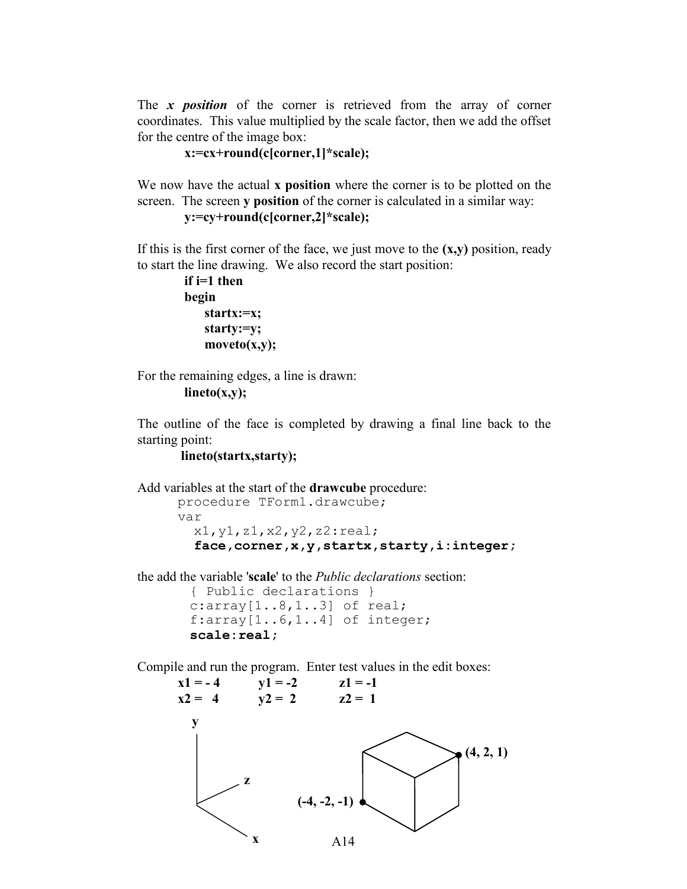The *x position* of the corner is retrieved from the array of corner coordinates. This value multiplied by the scale factor, then we add the offset for the centre of the image box:

```
 x:=cx+round(c[corner,1]*scale);
```
We now have the actual **x position** where the corner is to be plotted on the screen. The screen **y position** of the corner is calculated in a similar way:

```
 y:=cy+round(c[corner,2]*scale);
```
If this is the first corner of the face, we just move to the **(x,y)** position, ready to start the line drawing. We also record the start position:

```
 if i=1 then
 begin
     startx:=x;
     starty:=y;
     moveto(x,y);
```
For the remaining edges, a line is drawn:

```
 lineto(x,y);
```
The outline of the face is completed by drawing a final line back to the starting point:

#### **lineto(startx,starty);**

Add variables at the start of the **drawcube** procedure:

procedure TForm1.drawcube; var x1,y1,z1,x2,y2,z2:real; **face,corner,x,y,startx,starty,i:integer;**

the add the variable '**scale**' to the *Public declarations* section:

```
 { Public declarations }
c:array[1..8,1..3] of real;
f:array[1..6,1..4] of integer;
 scale:real;
```
Compile and run the program. Enter test values in the edit boxes:

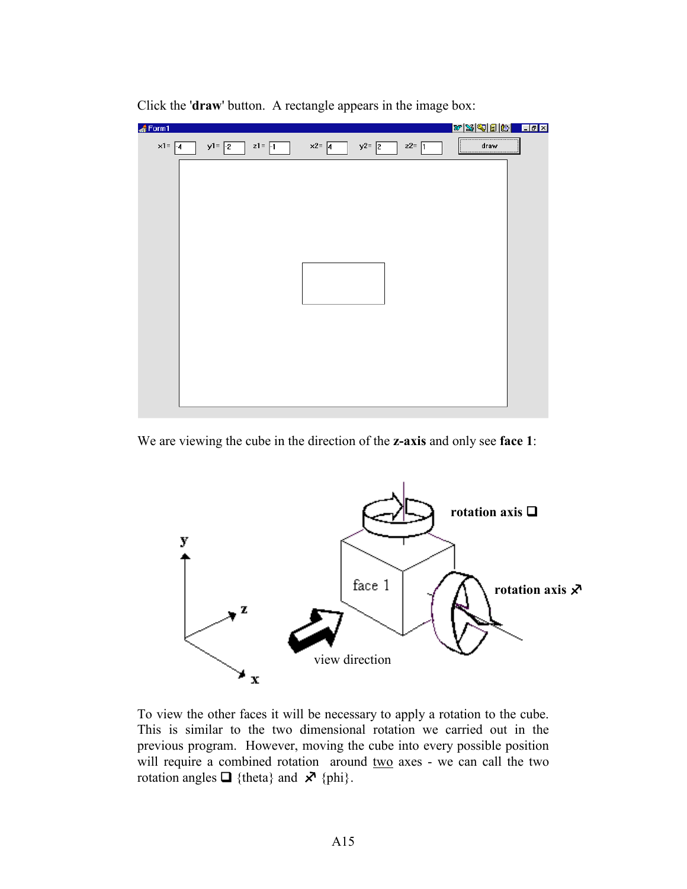

Click the '**draw**' button. A rectangle appears in the image box:

We are viewing the cube in the direction of the **z-axis** and only see **face 1**:



To view the other faces it will be necessary to apply a rotation to the cube. This is similar to the two dimensional rotation we carried out in the previous program. However, moving the cube into every possible position will require a combined rotation around two axes - we can call the two rotation angles  $\Box$  {theta} and  $\angle$  {phi}.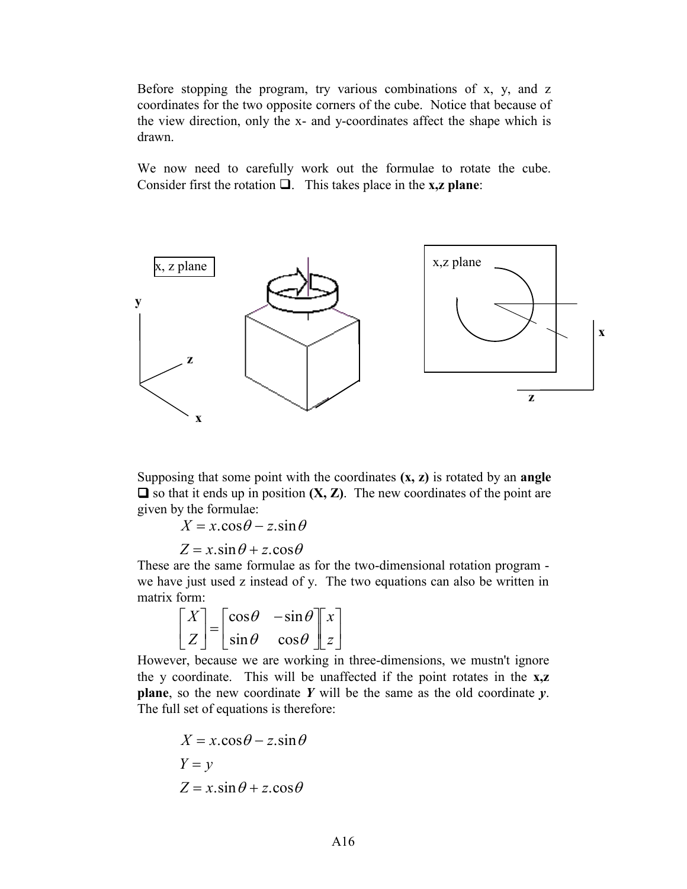Before stopping the program, try various combinations of x, y, and z coordinates for the two opposite corners of the cube. Notice that because of the view direction, only the x- and y-coordinates affect the shape which is drawn.

We now need to carefully work out the formulae to rotate the cube. Consider first the rotation  $\Box$ . This takes place in the **x**,**z** plane:



Supposing that some point with the coordinates **(x, z)** is rotated by an **angle**   $\Box$  so that it ends up in position  $(X, Z)$ . The new coordinates of the point are given by the formulae:

 $X = x \cdot \cos \theta - z \cdot \sin \theta$ 

 $Z = x \cdot \sin \theta + z \cdot \cos \theta$ 

These are the same formulae as for the two-dimensional rotation program we have just used z instead of y. The two equations can also be written in matrix form:

$$
\begin{bmatrix} X \\ Z \end{bmatrix} = \begin{bmatrix} \cos \theta & -\sin \theta \\ \sin \theta & \cos \theta \end{bmatrix} \begin{bmatrix} x \\ z \end{bmatrix}
$$

However, because we are working in three-dimensions, we mustn't ignore the y coordinate. This will be unaffected if the point rotates in the **x,z plane**, so the new coordinate *Y* will be the same as the old coordinate *y*. The full set of equations is therefore:

$$
X = x.\cos\theta - z.\sin\theta
$$

$$
Y = y
$$

$$
Z = x.\sin\theta + z.\cos\theta
$$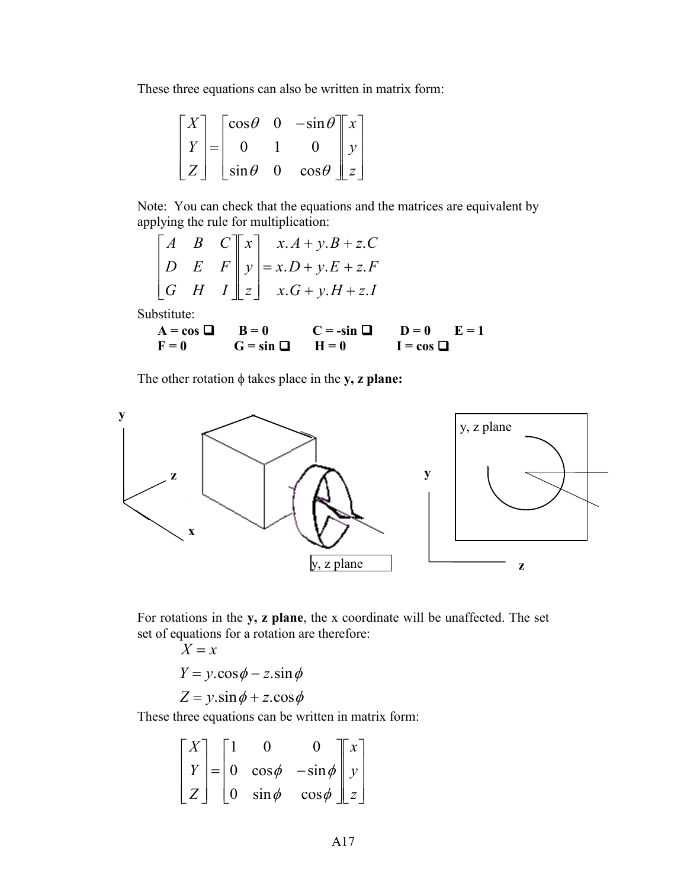These three equations can also be written in matrix form:

$$
\begin{bmatrix} X \\ Y \\ Z \end{bmatrix} = \begin{bmatrix} \cos \theta & 0 & -\sin \theta \\ 0 & 1 & 0 \\ \sin \theta & 0 & \cos \theta \end{bmatrix} \begin{bmatrix} x \\ y \\ z \end{bmatrix}
$$

Note: You can check that the equations and the matrices are equivalent by applying the rule for multiplication:

$$
\begin{bmatrix} A & B & C \ D & E & F \ G & H & I \end{bmatrix} \begin{bmatrix} x \\ y \\ z \end{bmatrix} = x \cdot D + y \cdot E + z \cdot F
$$
  

$$
x \cdot G + y \cdot H + z \cdot I
$$

Substitute:

| $A = \cos \Box$ $B = 0$ |                         | $C = -\sin \Box$ $D = 0$ $E = 1$ |                |  |
|-------------------------|-------------------------|----------------------------------|----------------|--|
| $F=0$                   | $G = \sin \Box$ $H = 0$ |                                  | $I = cos \Box$ |  |

The other rotation  $\phi$  takes place in the **y**, **z** plane:



For rotations in the **y, z plane**, the x coordinate will be unaffected. The set set of equations for a rotation are therefore:

$$
X = x
$$
  
 
$$
Y = y \cdot \cos \phi - z \cdot \sin \phi
$$
  
 
$$
Z = y \cdot \sin \phi + z \cdot \cos \phi
$$

These three equations can be written in matrix form:

$$
\begin{bmatrix} X \\ Y \\ Z \end{bmatrix} = \begin{bmatrix} 1 & 0 & 0 \\ 0 & \cos \phi & -\sin \phi \\ 0 & \sin \phi & \cos \phi \end{bmatrix} \begin{bmatrix} x \\ y \\ z \end{bmatrix}
$$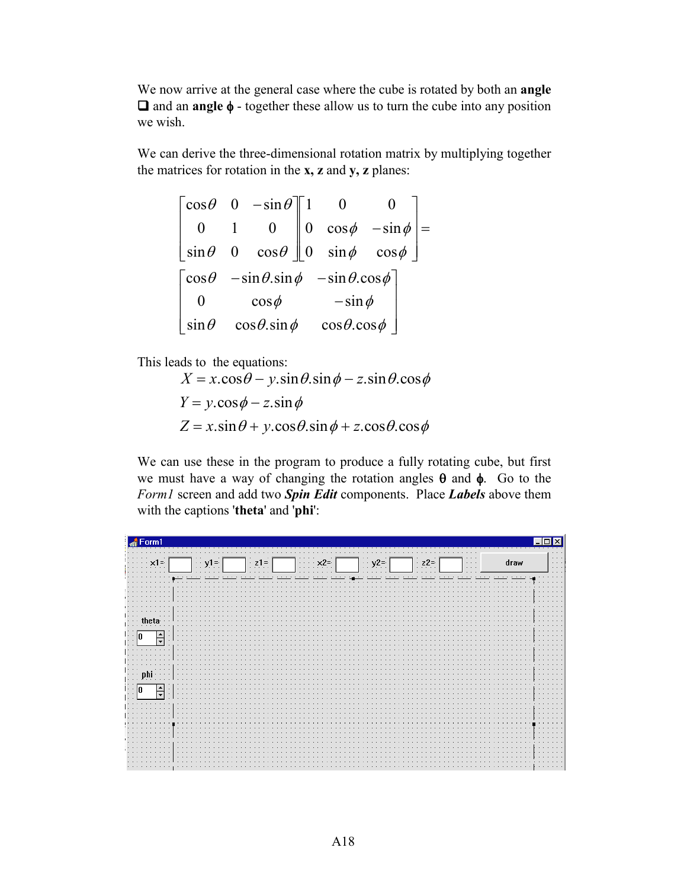We now arrive at the general case where the cube is rotated by both an **angle**   $\Box$  and an **angle**  $\phi$  - together these allow us to turn the cube into any position we wish.

We can derive the three-dimensional rotation matrix by multiplying together the matrices for rotation in the **x, z** and **y, z** planes:

|  | $\begin{bmatrix} \cos \theta & 0 & -\sin \theta \end{bmatrix}$ 1                                                                                                 |             |  |  |
|--|------------------------------------------------------------------------------------------------------------------------------------------------------------------|-------------|--|--|
|  |                                                                                                                                                                  |             |  |  |
|  | $\begin{bmatrix} 0 & 1 & 0 \\ \sin \theta & 0 & \cos \theta \end{bmatrix} \begin{bmatrix} 0 & \cos \phi & -\sin \phi \\ 0 & \sin \phi & \cos \phi \end{bmatrix}$ |             |  |  |
|  | $\begin{bmatrix} \cos \theta & -\sin \theta . \sin \phi & -\sin \theta . \cos \phi \end{bmatrix}$                                                                |             |  |  |
|  | $\cos \phi$                                                                                                                                                      | $-\sin\phi$ |  |  |
|  | $\sin \theta$ $\cos \theta \cdot \sin \phi$ $\cos \theta \cdot \cos \phi$                                                                                        |             |  |  |

This leads to the equations:

 $X = x \cdot \cos \theta - y \cdot \sin \theta \cdot \sin \phi - z \cdot \sin \theta \cdot \cos \phi$  $Y = y \cdot \cos \phi - z \cdot \sin \phi$  $Z = x \cdot \sin \theta + y \cdot \cos \theta \cdot \sin \phi + z \cdot \cos \theta \cdot \cos \phi$ 

We can use these in the program to produce a fully rotating cube, but first we must have a way of changing the rotation angles  $\theta$  and  $\phi$ . Go to the *Form1* screen and add two *Spin Edit* components. Place *Labels* above them with the captions '**theta**' and '**phi**':

| Form1<br>۱÷                      |                        |                                     |                                                                                         |                                                  |
|----------------------------------|------------------------|-------------------------------------|-----------------------------------------------------------------------------------------|--------------------------------------------------|
| $\cdots$ x1=                     | $\pm$ y <sub>1</sub> = | $\vert$ z1= $\vert$<br>$\mathbf{x}$ | $\Big $ z2= $\Big $<br>$\left  \cdot \right $ y <sup>2=</sup><br>$\mathbb{N}\mathbb{N}$ | $\sim$ $\sim$<br>draw<br>$\sim$<br>$\sim$ $\sim$ |
|                                  |                        |                                     |                                                                                         |                                                  |
|                                  |                        |                                     |                                                                                         |                                                  |
| the:<br>$\overline{\phantom{0}}$ | $\cdots$               |                                     |                                                                                         |                                                  |
|                                  | <b>COLLEGE</b>         |                                     |                                                                                         |                                                  |
| nhi                              |                        |                                     |                                                                                         |                                                  |
| $\frac{1}{\sqrt{2}}$             |                        |                                     |                                                                                         |                                                  |
|                                  |                        |                                     |                                                                                         |                                                  |
|                                  |                        |                                     |                                                                                         |                                                  |
|                                  |                        |                                     |                                                                                         |                                                  |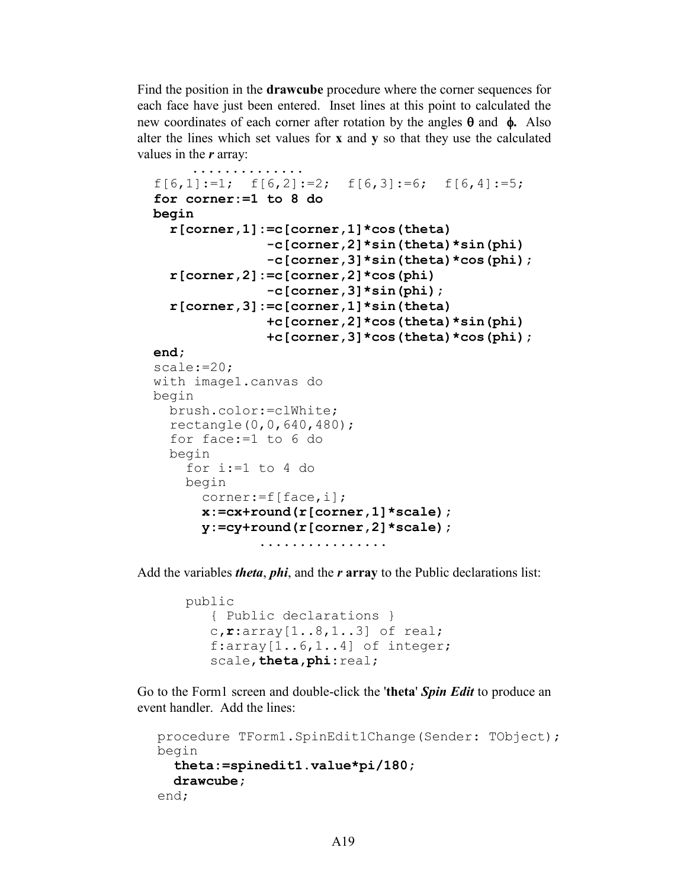Find the position in the **drawcube** procedure where the corner sequences for each face have just been entered. Inset lines at this point to calculated the new coordinates of each corner after rotation by the angles  $\theta$  and  $\phi$ . Also alter the lines which set values for **x** and **y** so that they use the calculated values in the *r* array:

```
 ..............
f[6,1]:=1; f[6,2]:=2; f[6,3]:=6; f[6,4]:=5; for corner:=1 to 8 do
 begin
   r[corner,1]:=c[corner,1]*cos(theta)
                -c[corner,2]*sin(theta)*sin(phi)
                -c[corner,3]*sin(theta)*cos(phi);
   r[corner,2]:=c[corner,2]*cos(phi)
                -c[corner,3]*sin(phi);
   r[corner,3]:=c[corner,1]*sin(theta)
                +c[corner,2]*cos(theta)*sin(phi)
                +c[corner,3]*cos(theta)*cos(phi);
 end;
 scale:=20;
 with image1.canvas do
 begin
   brush.color:=clWhite;
   rectangle(0,0,640,480);
   for face:=1 to 6 do
   begin
     for i:=1 to 4 do
     begin
       corner:=f[face,i];
       x:=cx+round(r[corner,1]*scale);
       y:=cy+round(r[corner,2]*scale); 
               ................
```
Add the variables *theta*, *phi*, and the *r* **array** to the Public declarations list:

```
public
    { Public declarations }
    c,r:array[1..8,1..3] of real;
    f:array[1..6,1..4] of integer;
    scale,theta,phi:real;
```
Go to the Form1 screen and double-click the '**theta**' *Spin Edit* to produce an event handler. Add the lines:

```
procedure TForm1.SpinEdit1Change(Sender: TObject);
begin
   theta:=spinedit1.value*pi/180;
   drawcube;
end;
```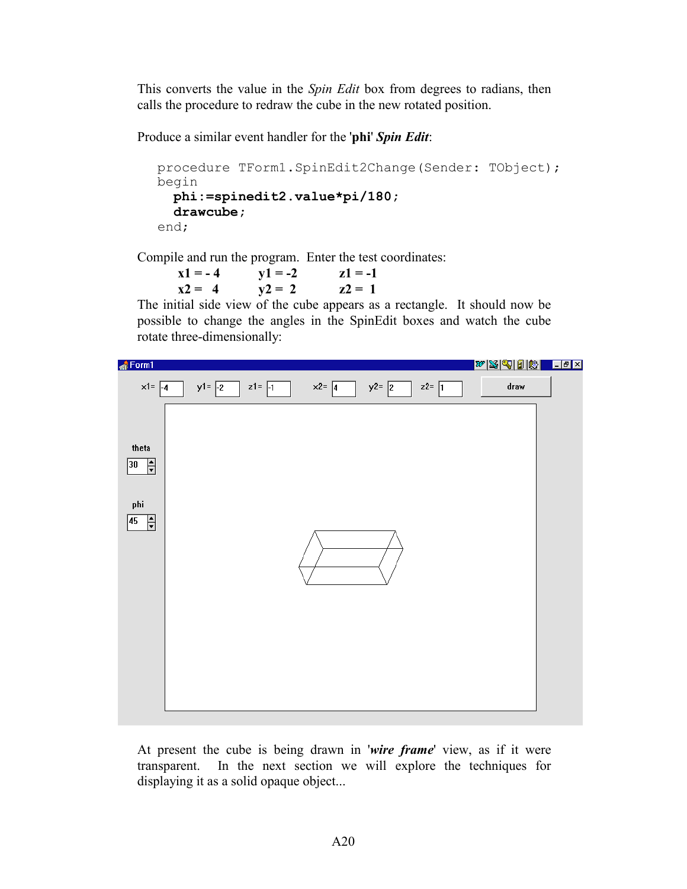This converts the value in the *Spin Edit* box from degrees to radians, then calls the procedure to redraw the cube in the new rotated position.

Produce a similar event handler for the '**phi**' *Spin Edit*:

```
procedure TForm1.SpinEdit2Change(Sender: TObject);
begin
  phi:=spinedit2.value*pi/180;
   drawcube;
end;
```
Compile and run the program. Enter the test coordinates:

 $x1 = -4$   $y1 = -2$   $z1 = -1$  $x2 = 4$   $y2 = 2$   $z2 = 1$ 

The initial side view of the cube appears as a rectangle. It should now be possible to change the angles in the SpinEdit boxes and watch the cube rotate three-dimensionally:



At present the cube is being drawn in '*wire frame*' view, as if it were transparent. In the next section we will explore the techniques for displaying it as a solid opaque object...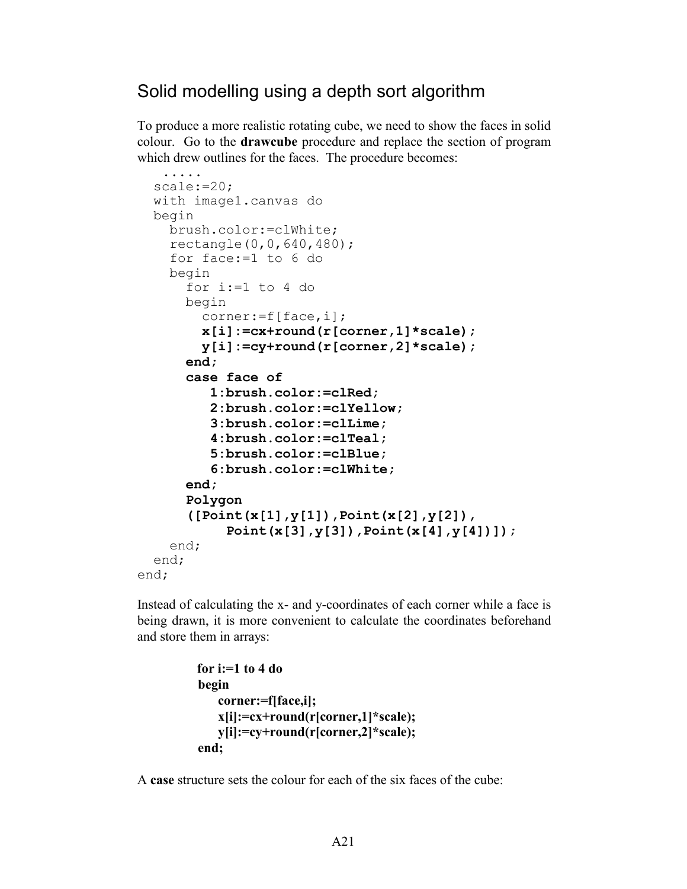## Solid modelling using a depth sort algorithm

To produce a more realistic rotating cube, we need to show the faces in solid colour. Go to the **drawcube** procedure and replace the section of program which drew outlines for the faces. The procedure becomes:

```
 .....
   scale:=20;
   with image1.canvas do
  begin
     brush.color:=clWhite; 
     rectangle(0,0,640,480);
     for face:=1 to 6 do
     begin
      for i:=1 to 4 do
       begin
         corner:=f[face,i];
         x[i]:=cx+round(r[corner,1]*scale);
         y[i]:=cy+round(r[corner,2]*scale);
       end;
       case face of
          1:brush.color:=clRed;
          2:brush.color:=clYellow;
          3:brush.color:=clLime;
          4:brush.color:=clTeal;
          5:brush.color:=clBlue;
          6:brush.color:=clWhite;
       end;
       Polygon
       ([Point(x[1],y[1]),Point(x[2],y[2]),
             Point(x[3],y[3]),Point(x[4],y[4])]);
     end;
   end;
end;
```
Instead of calculating the x- and y-coordinates of each corner while a face is being drawn, it is more convenient to calculate the coordinates beforehand and store them in arrays:

```
for i:=1 to 4 do
 begin
   corner:=f[face,i];
   x[i]:=cx+round(r[corner,1]*scale);
   y[i]:=cy+round(r[corner,2]*scale);
 end;
```
A **case** structure sets the colour for each of the six faces of the cube: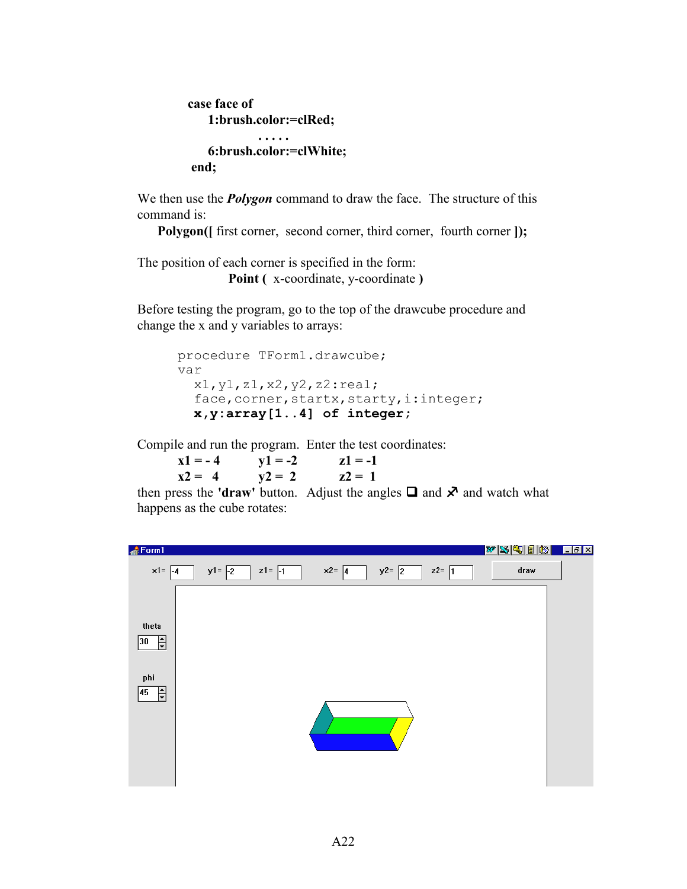```
 case face of
     1:brush.color:=clRed;
               . . . . . 
     6:brush.color:=clWhite;
 end;
```
We then use the *Polygon* command to draw the face. The structure of this command is:

 **Polygon**( $\left[$  first corner, second corner, third corner, fourth corner  $\left[ \right]$ );

The position of each corner is specified in the form: **Point (** x-coordinate, y-coordinate **)**

Before testing the program, go to the top of the drawcube procedure and change the x and y variables to arrays:

```
procedure TForm1.drawcube;
var
   x1,y1,z1,x2,y2,z2:real;
  face, corner, startx, starty, i: integer;
   x,y:array[1..4] of integer;
```
Compile and run the program. Enter the test coordinates:

| $x1 = -4$ | $y1 = -2$ | $z1 = -1$ |
|-----------|-----------|-----------|
| $x2 = 4$  | $y2 = 2$  | $z^2 = 1$ |

then press the **'draw'** button. Adjust the angles  $\Box$  and  $\mathbf{\times}$  and watch what happens as the cube rotates:

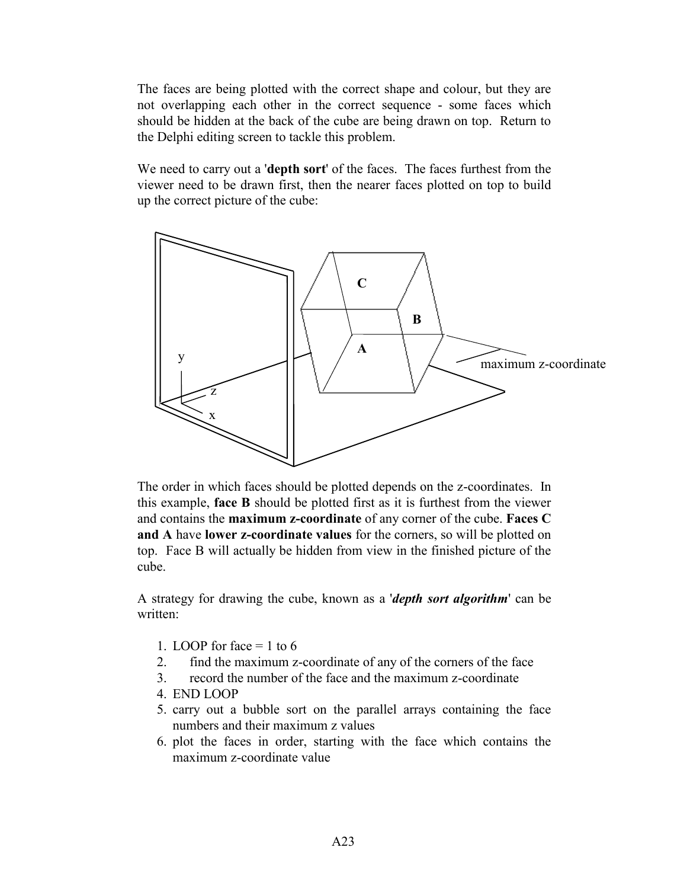The faces are being plotted with the correct shape and colour, but they are not overlapping each other in the correct sequence - some faces which should be hidden at the back of the cube are being drawn on top. Return to the Delphi editing screen to tackle this problem.

We need to carry out a '**depth sort**' of the faces. The faces furthest from the viewer need to be drawn first, then the nearer faces plotted on top to build up the correct picture of the cube:



The order in which faces should be plotted depends on the z-coordinates. In this example, **face B** should be plotted first as it is furthest from the viewer and contains the **maximum z-coordinate** of any corner of the cube. **Faces C and A** have **lower z-coordinate values** for the corners, so will be plotted on top. Face B will actually be hidden from view in the finished picture of the cube.

A strategy for drawing the cube, known as a '*depth sort algorithm*' can be written:

- 1. LOOP for face  $= 1$  to 6
- 2. find the maximum z-coordinate of any of the corners of the face
- 3. record the number of the face and the maximum z-coordinate
- 4. END LOOP
- 5. carry out a bubble sort on the parallel arrays containing the face numbers and their maximum z values
- 6. plot the faces in order, starting with the face which contains the maximum z-coordinate value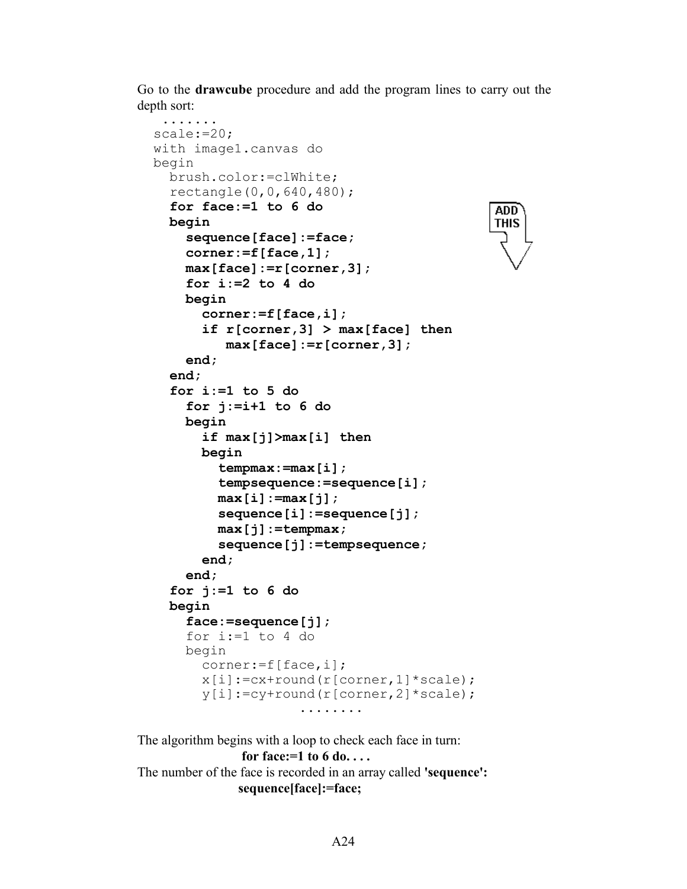Go to the **drawcube** procedure and add the program lines to carry out the depth sort:

> ADD **THIS**

```
 ....... 
 scale:=20;
 with image1.canvas do
 begin
   brush.color:=clWhite;
   rectangle(0,0,640,480);
   for face:=1 to 6 do
   begin
     sequence[face]:=face;
     corner:=f[face,1];
     max[face]:=r[corner,3];
     for i:=2 to 4 do
     begin
       corner:=f[face,i];
       if r[corner,3] > max[face] then
          max[face]:=r[corner,3];
     end;
   end;
   for i:=1 to 5 do
     for j:=i+1 to 6 do
     begin
       if max[j]>max[i] then
       begin
         tempmax:=max[i];
         tempsequence:=sequence[i];
         max[i]:=max[j];
         sequence[i]:=sequence[j];
         max[j]:=tempmax;
         sequence[j]:=tempsequence;
       end;
     end;
   for j:=1 to 6 do
   begin
     face:=sequence[j];
     for i:=1 to 4 do
     begin
       corner:=f[face,i];
      x[i]:=cx+round(r[corner,1]*scale);y[i]:=cy+round(r[corner,2]*scale); ........
```
The algorithm begins with a loop to check each face in turn: **for face:=1 to 6 do. . . .** The number of the face is recorded in an array called **'sequence': sequence[face]:=face;**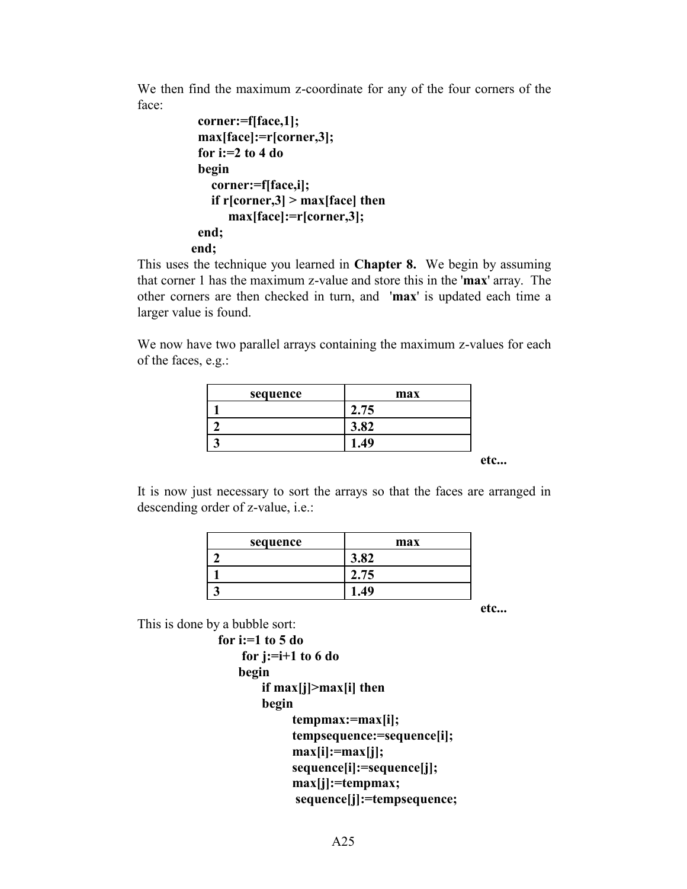We then find the maximum z-coordinate for any of the four corners of the face:

```
 corner:=f[face,1];
  max[face]:=r[corner,3];
  for i:=2 to 4 do
  begin
    corner:=f[face,i];
    if r[corner,3] > max[face] then
       max[face]:=r[corner,3];
  end;
 end;
```
This uses the technique you learned in **Chapter 8.** We begin by assuming that corner 1 has the maximum z-value and store this in the '**max**' array. The other corners are then checked in turn, and '**max**' is updated each time a larger value is found.

We now have two parallel arrays containing the maximum z-values for each of the faces, e.g.:

| sequence | max  |
|----------|------|
|          | 2.75 |
|          | 3.82 |
|          | 1.49 |

 **etc...**

It is now just necessary to sort the arrays so that the faces are arranged in descending order of z-value, i.e.:

| sequence | max  |
|----------|------|
|          | 3.82 |
|          | 2.75 |
|          | 10   |

 **etc...**

This is done by a bubble sort:

```
for i:=1 to 5 do
    for j:=i+1 to 6 do
    begin
        if max[j]>max[i] then
        begin
             tempmax:=max[i];
            tempsequence:=sequence[i];
            max[i]:=max[j];
            sequence[i]:=sequence[j];
             max[j]:=tempmax;
              sequence[j]:=tempsequence;
```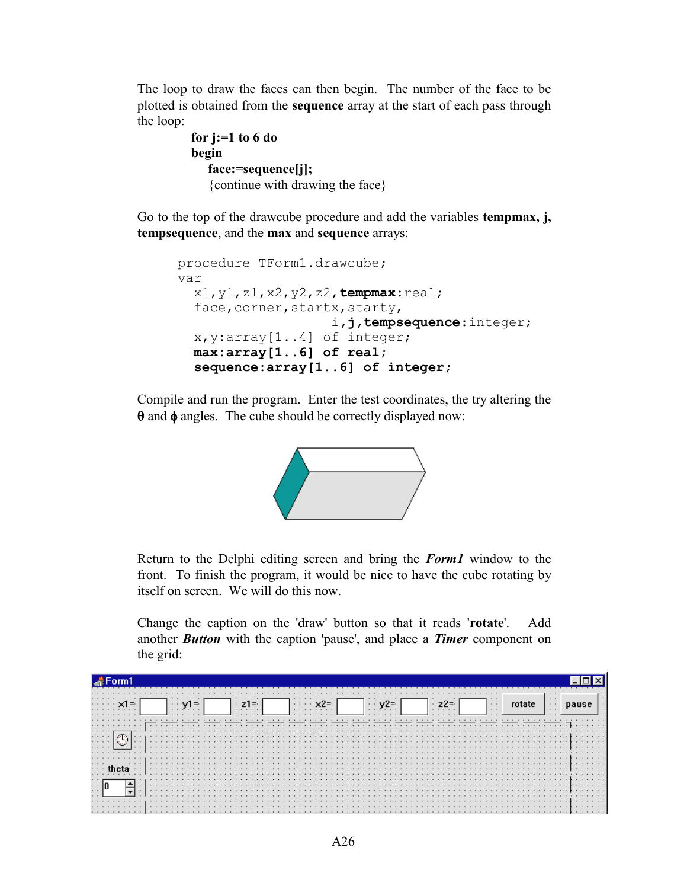The loop to draw the faces can then begin. The number of the face to be plotted is obtained from the **sequence** array at the start of each pass through the loop:

```
 for j:=1 to 6 do
 begin
    face:=sequence[j];
    {continue with drawing the face}
```
Go to the top of the drawcube procedure and add the variables **tempmax, j, tempsequence**, and the **max** and **sequence** arrays:

```
procedure TForm1.drawcube;
var
   x1,y1,z1,x2,y2,z2,tempmax:real;
  face, corner, startx, starty,
                     i,j,tempsequence:integer;
   x,y:array[1..4] of integer;
   max:array[1..6] of real;
   sequence:array[1..6] of integer;
```
Compile and run the program. Enter the test coordinates, the try altering the  $\theta$  and  $\phi$  angles. The cube should be correctly displayed now:



Return to the Delphi editing screen and bring the *Form1* window to the front. To finish the program, it would be nice to have the cube rotating by itself on screen. We will do this now.

Change the caption on the 'draw' button so that it reads '**rotate**'. Add another *Button* with the caption 'pause', and place a *Timer* component on the grid:

| .                                               |               |   |  |  |  |   |  |  |  |  |          |   |  |  |   |                                     |  |  |   |  |  |                      |  |  |                      |  |   |  |
|-------------------------------------------------|---------------|---|--|--|--|---|--|--|--|--|----------|---|--|--|---|-------------------------------------|--|--|---|--|--|----------------------|--|--|----------------------|--|---|--|
| .<br>.<br>.                                     |               | . |  |  |  | . |  |  |  |  | $\cdots$ | . |  |  |   | $\cdots$<br>$\cdot$ $\cdot$ $\cdot$ |  |  | . |  |  | $\cdots$<br>$\cdots$ |  |  | $\cdots$<br>$\cdots$ |  |   |  |
| .                                               |               | . |  |  |  |   |  |  |  |  |          |   |  |  |   |                                     |  |  |   |  |  |                      |  |  |                      |  |   |  |
| .<br>.<br>$\cdot$ $\cdot$<br>$\sim$ $\sim$<br>. | $\cdots$<br>. | . |  |  |  |   |  |  |  |  |          |   |  |  |   |                                     |  |  |   |  |  |                      |  |  |                      |  |   |  |
|                                                 |               |   |  |  |  |   |  |  |  |  |          |   |  |  |   |                                     |  |  |   |  |  |                      |  |  |                      |  | . |  |
| $\cdots$                                        |               |   |  |  |  |   |  |  |  |  |          |   |  |  |   |                                     |  |  |   |  |  |                      |  |  |                      |  |   |  |
|                                                 | .<br>.        |   |  |  |  |   |  |  |  |  |          |   |  |  | . |                                     |  |  |   |  |  |                      |  |  |                      |  |   |  |
| .                                               |               |   |  |  |  |   |  |  |  |  |          |   |  |  |   |                                     |  |  |   |  |  |                      |  |  | .                    |  |   |  |